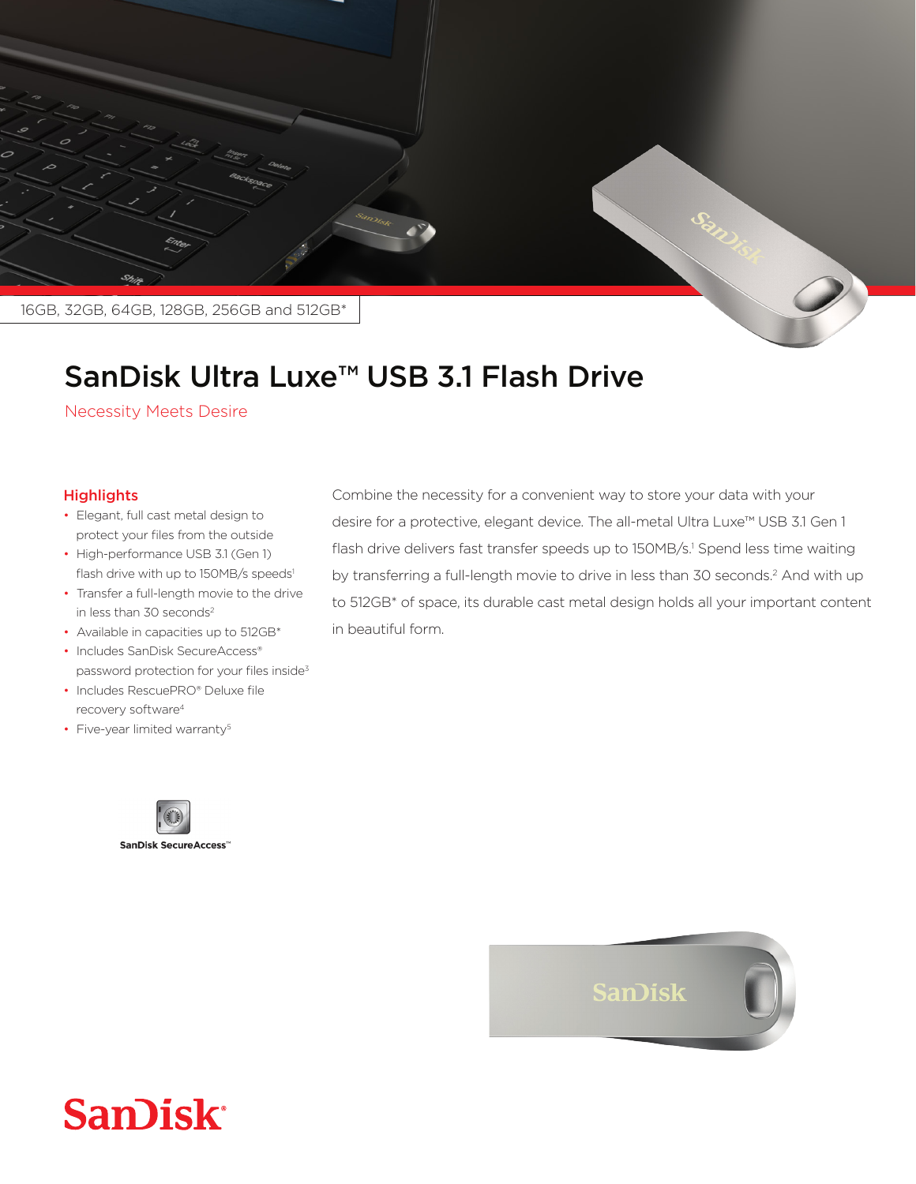

## SanDisk Ultra Luxe<sup>™</sup> USB 3.1 Flash Drive

**Necessity Meets Desire** 

## **Highlights**

- Elegant, full cast metal design to protect your files from the outside
- High-performance USB 3.1 (Gen 1) flash drive with up to 150MB/s speeds<sup>1</sup>
- Transfer a full-length movie to the drive in less than  $30$  seconds<sup>2</sup>
- Available in capacities up to 512GB\*
- Includes SanDisk SecureAccess® password protection for your files inside<sup>3</sup>
- Includes RescuePRO® Deluxe file recovery software<sup>4</sup>
- Five-year limited warranty<sup>5</sup>



Combine the necessity for a convenient way to store your data with your desire for a protective, elegant device. The all-metal Ultra Luxe<sup>™</sup> USB 3.1 Gen 1 flash drive delivers fast transfer speeds up to 150MB/s.<sup>1</sup> Spend less time waiting by transferring a full-length movie to drive in less than 30 seconds. $<sup>2</sup>$  And with up</sup> to 512GB\* of space, its durable cast metal design holds all your important content in beautiful form.



## **San)isk**